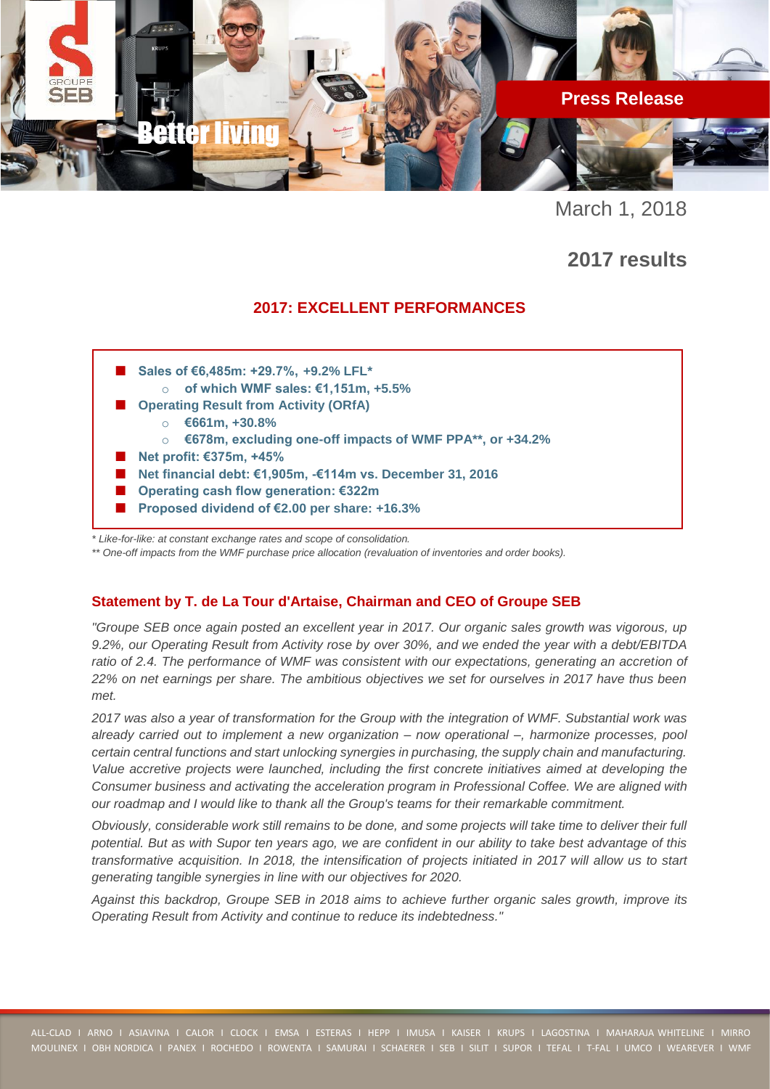

March 1, 2018

**2017 results**

# **2017: EXCELLENT PERFORMANCES**



*\*\* One-off impacts from the WMF purchase price allocation (revaluation of inventories and order books).* 

### **Statement by T. de La Tour d'Artaise, Chairman and CEO of Groupe SEB**

*"Groupe SEB once again posted an excellent year in 2017. Our organic sales growth was vigorous, up 9.2%, our Operating Result from Activity rose by over 30%, and we ended the year with a debt/EBITDA*  ratio of 2.4. The performance of WMF was consistent with our expectations, generating an accretion of *22% on net earnings per share. The ambitious objectives we set for ourselves in 2017 have thus been met.*

*2017 was also a year of transformation for the Group with the integration of WMF. Substantial work was already carried out to implement a new organization – now operational –, harmonize processes, pool certain central functions and start unlocking synergies in purchasing, the supply chain and manufacturing. Value accretive projects were launched, including the first concrete initiatives aimed at developing the Consumer business and activating the acceleration program in Professional Coffee. We are aligned with our roadmap and I would like to thank all the Group's teams for their remarkable commitment.*

*Obviously, considerable work still remains to be done, and some projects will take time to deliver their full potential. But as with Supor ten years ago, we are confident in our ability to take best advantage of this transformative acquisition. In 2018, the intensification of projects initiated in 2017 will allow us to start generating tangible synergies in line with our objectives for 2020.* 

*Against this backdrop, Groupe SEB in 2018 aims to achieve further organic sales growth, improve its Operating Result from Activity and continue to reduce its indebtedness."*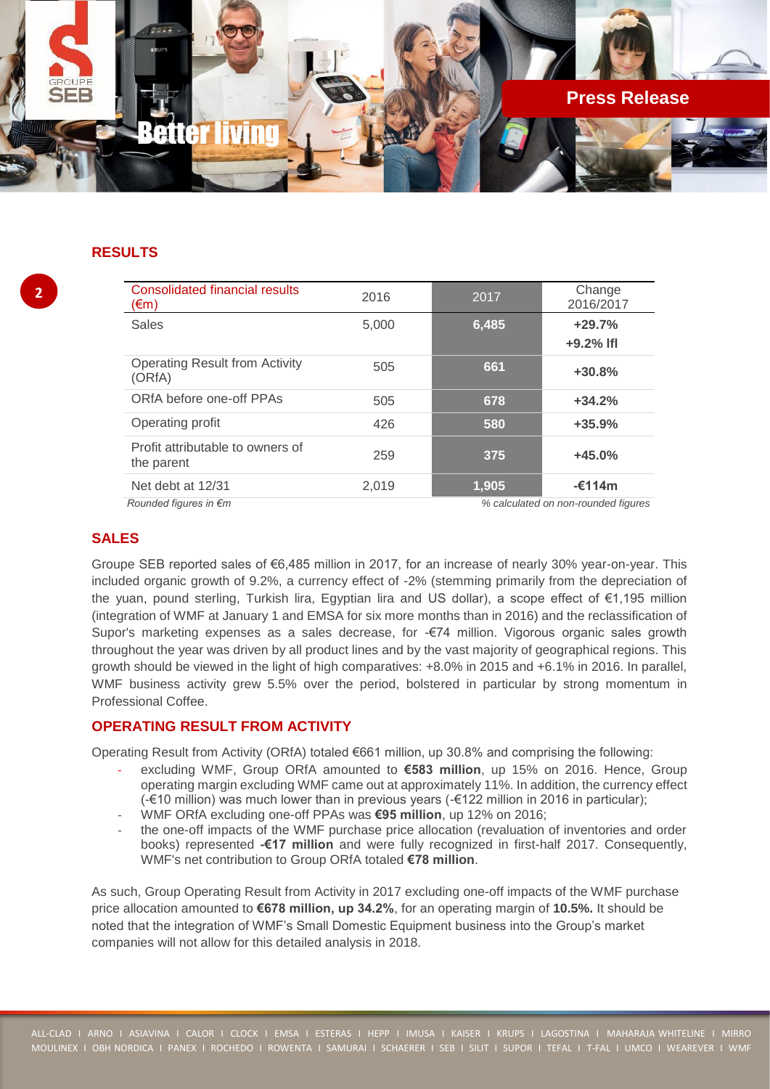

## **RESULTS**

| <b>Consolidated financial results</b><br>$(\epsilon m)$                | 2016  | 2017  | Change<br>2016/2017     |  |
|------------------------------------------------------------------------|-------|-------|-------------------------|--|
| <b>Sales</b>                                                           | 5,000 | 6,485 | $+29.7%$<br>$+9.2%$ Ifl |  |
| <b>Operating Result from Activity</b><br>(ORfA)                        | 505   | 661   | $+30.8%$                |  |
| ORfA before one-off PPAs                                               | 505   | 678   | $+34.2%$                |  |
| Operating profit                                                       | 426   | 580   | $+35.9%$                |  |
| Profit attributable to owners of<br>the parent                         | 259   | 375   | $+45.0%$                |  |
| Net debt at 12/31                                                      | 2,019 | 1.905 | $-£114m$                |  |
| Rounded figures in $\epsilon$ m<br>% calculated on non-rounded figures |       |       |                         |  |

### **SALES**

Groupe SEB reported sales of €6,485 million in 2017, for an increase of nearly 30% year-on-year. This included organic growth of 9.2%, a currency effect of -2% (stemming primarily from the depreciation of the yuan, pound sterling, Turkish lira, Egyptian lira and US dollar), a scope effect of €1,195 million (integration of WMF at January 1 and EMSA for six more months than in 2016) and the reclassification of Supor's marketing expenses as a sales decrease, for -€74 million. Vigorous organic sales growth throughout the year was driven by all product lines and by the vast majority of geographical regions. This growth should be viewed in the light of high comparatives: +8.0% in 2015 and +6.1% in 2016. In parallel, WMF business activity grew 5.5% over the period, bolstered in particular by strong momentum in Professional Coffee.

## **OPERATING RESULT FROM ACTIVITY**

Operating Result from Activity (ORfA) totaled €661 million, up 30.8% and comprising the following:

- excluding WMF, Group ORfA amounted to **€583 million**, up 15% on 2016. Hence, Group operating margin excluding WMF came out at approximately 11%. In addition, the currency effect (-€10 million) was much lower than in previous years (-€122 million in 2016 in particular);
- WMF ORfA excluding one-off PPAs was **€95 million**, up 12% on 2016;
- the one-off impacts of the WMF purchase price allocation (revaluation of inventories and order books) represented **-€17 million** and were fully recognized in first-half 2017. Consequently, WMF's net contribution to Group ORfA totaled **€78 million**.

As such, Group Operating Result from Activity in 2017 excluding one-off impacts of the WMF purchase price allocation amounted to **€678 million, up 34.2%**, for an operating margin of **10.5%.** It should be noted that the integration of WMF's Small Domestic Equipment business into the Group's market companies will not allow for this detailed analysis in 2018.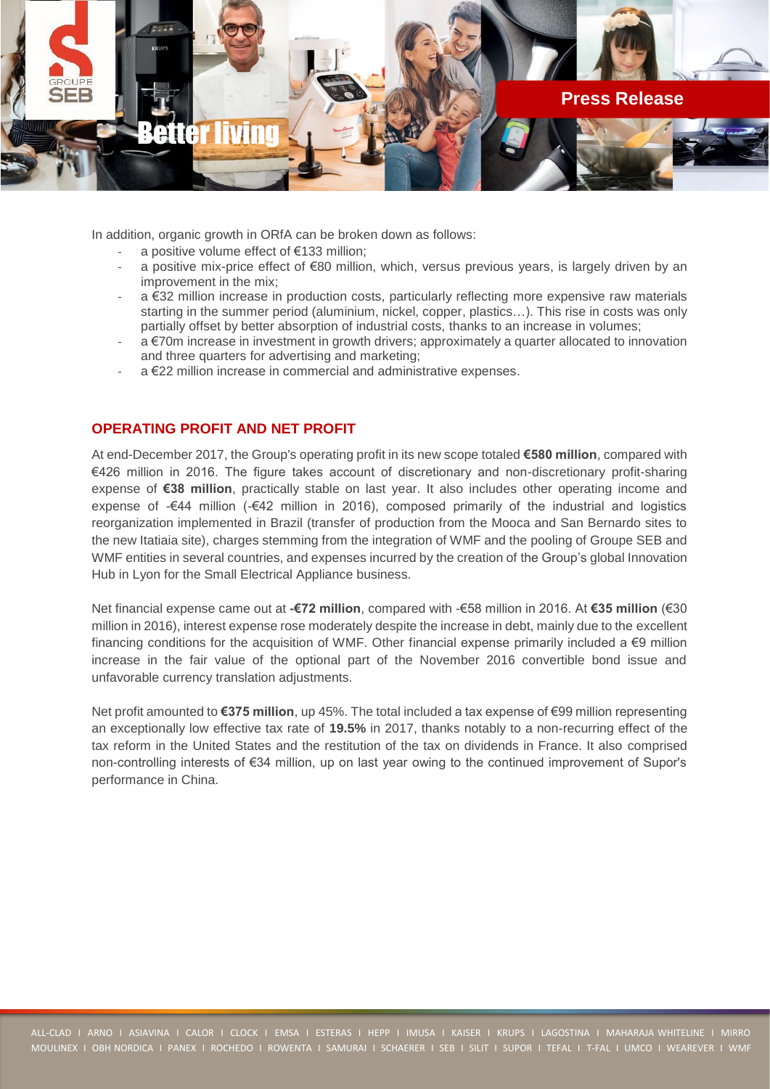

In addition, organic growth in ORfA can be broken down as follows:

- a positive volume effect of €133 million;
- a positive mix-price effect of €80 million, which, versus previous years, is largely driven by an improvement in the mix;
- a €32 million increase in production costs, particularly reflecting more expensive raw materials starting in the summer period (aluminium, nickel, copper, plastics…). This rise in costs was only partially offset by better absorption of industrial costs, thanks to an increase in volumes;
- a €70m increase in investment in growth drivers; approximately a quarter allocated to innovation and three quarters for advertising and marketing;
- a €22 million increase in commercial and administrative expenses.

### **OPERATING PROFIT AND NET PROFIT**

At end-December 2017, the Group's operating profit in its new scope totaled **€580 million**, compared with €426 million in 2016. The figure takes account of discretionary and non-discretionary profit-sharing expense of **€38 million**, practically stable on last year. It also includes other operating income and expense of -€44 million (-€42 million in 2016), composed primarily of the industrial and logistics reorganization implemented in Brazil (transfer of production from the Mooca and San Bernardo sites to the new Itatiaia site), charges stemming from the integration of WMF and the pooling of Groupe SEB and WMF entities in several countries, and expenses incurred by the creation of the Group's global Innovation Hub in Lyon for the Small Electrical Appliance business.

Net financial expense came out at **-€72 million**, compared with -€58 million in 2016. At **€35 million** (€30 million in 2016), interest expense rose moderately despite the increase in debt, mainly due to the excellent financing conditions for the acquisition of WMF. Other financial expense primarily included a  $\epsilon$ 9 million increase in the fair value of the optional part of the November 2016 convertible bond issue and unfavorable currency translation adjustments.

Net profit amounted to **€375 million**, up 45%. The total included a tax expense of €99 million representing an exceptionally low effective tax rate of **19.5%** in 2017, thanks notably to a non-recurring effect of the tax reform in the United States and the restitution of the tax on dividends in France. It also comprised non-controlling interests of €34 million, up on last year owing to the continued improvement of Supor's performance in China.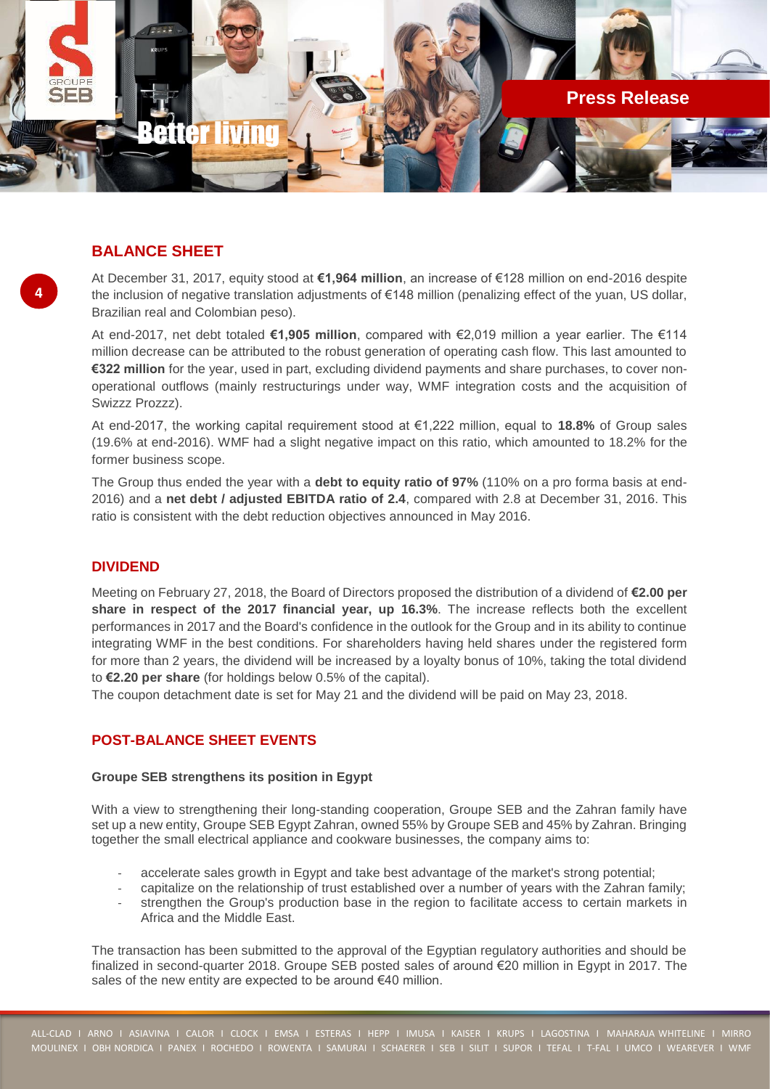

## **BALANCE SHEET**

**4**

At December 31, 2017, equity stood at **€1,964 million**, an increase of €128 million on end-2016 despite the inclusion of negative translation adjustments of €148 million (penalizing effect of the yuan, US dollar, Brazilian real and Colombian peso).

At end-2017, net debt totaled **€1,905 million**, compared with €2,019 million a year earlier. The €114 million decrease can be attributed to the robust generation of operating cash flow. This last amounted to **€322 million** for the year, used in part, excluding dividend payments and share purchases, to cover nonoperational outflows (mainly restructurings under way, WMF integration costs and the acquisition of Swizzz Prozzz).

At end-2017, the working capital requirement stood at €1,222 million, equal to **18.8%** of Group sales (19.6% at end-2016). WMF had a slight negative impact on this ratio, which amounted to 18.2% for the former business scope.

The Group thus ended the year with a **debt to equity ratio of 97%** (110% on a pro forma basis at end-2016) and a **net debt / adjusted EBITDA ratio of 2.4**, compared with 2.8 at December 31, 2016. This ratio is consistent with the debt reduction objectives announced in May 2016.

## **DIVIDEND**

Meeting on February 27, 2018, the Board of Directors proposed the distribution of a dividend of **€2.00 per share in respect of the 2017 financial year, up 16.3%**. The increase reflects both the excellent performances in 2017 and the Board's confidence in the outlook for the Group and in its ability to continue integrating WMF in the best conditions. For shareholders having held shares under the registered form for more than 2 years, the dividend will be increased by a loyalty bonus of 10%, taking the total dividend to **€2.20 per share** (for holdings below 0.5% of the capital).

The coupon detachment date is set for May 21 and the dividend will be paid on May 23, 2018.

### **POST-BALANCE SHEET EVENTS**

### **Groupe SEB strengthens its position in Egypt**

With a view to strengthening their long-standing cooperation, Groupe SEB and the Zahran family have set up a new entity, Groupe SEB Egypt Zahran, owned 55% by Groupe SEB and 45% by Zahran. Bringing together the small electrical appliance and cookware businesses, the company aims to:

- accelerate sales growth in Egypt and take best advantage of the market's strong potential;
- capitalize on the relationship of trust established over a number of years with the Zahran family;
- strengthen the Group's production base in the region to facilitate access to certain markets in Africa and the Middle East.

The transaction has been submitted to the approval of the Egyptian regulatory authorities and should be finalized in second-quarter 2018. Groupe SEB posted sales of around €20 million in Egypt in 2017. The sales of the new entity are expected to be around €40 million.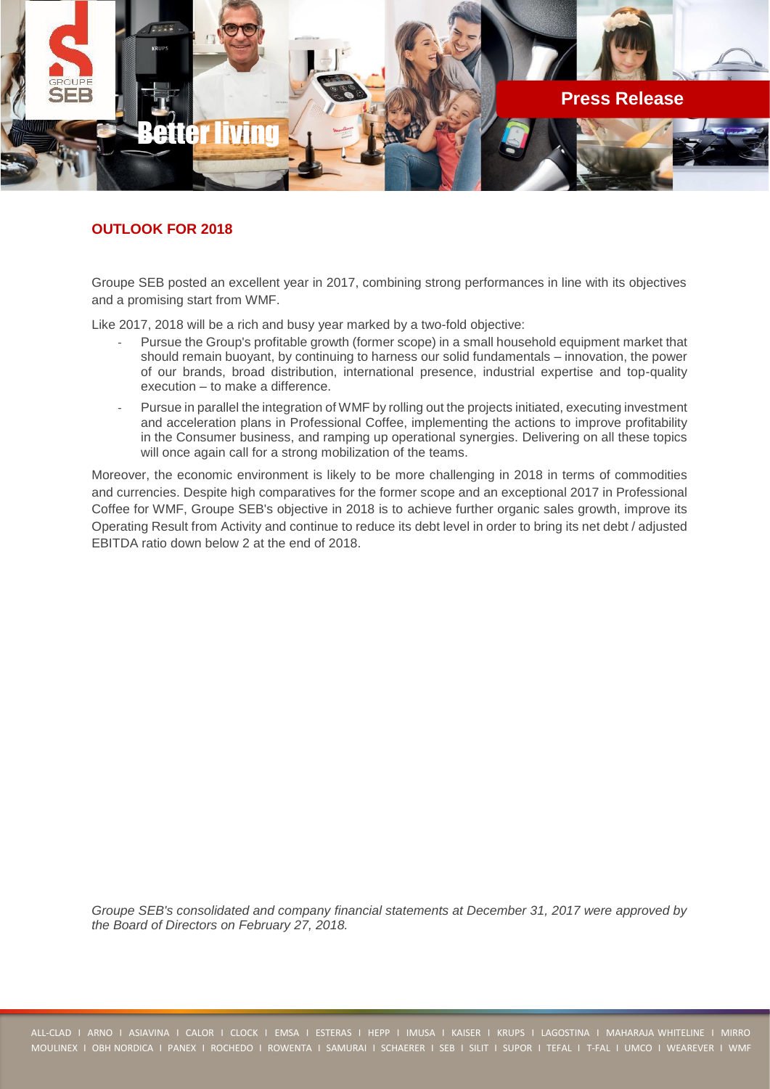

## **OUTLOOK FOR 2018**

Groupe SEB posted an excellent year in 2017, combining strong performances in line with its objectives and a promising start from WMF.

Like 2017, 2018 will be a rich and busy year marked by a two-fold objective:

- Pursue the Group's profitable growth (former scope) in a small household equipment market that should remain buoyant, by continuing to harness our solid fundamentals – innovation, the power of our brands, broad distribution, international presence, industrial expertise and top-quality execution – to make a difference.
- Pursue in parallel the integration of WMF by rolling out the projects initiated, executing investment and acceleration plans in Professional Coffee, implementing the actions to improve profitability in the Consumer business, and ramping up operational synergies. Delivering on all these topics will once again call for a strong mobilization of the teams.

Moreover, the economic environment is likely to be more challenging in 2018 in terms of commodities and currencies. Despite high comparatives for the former scope and an exceptional 2017 in Professional Coffee for WMF, Groupe SEB's objective in 2018 is to achieve further organic sales growth, improve its Operating Result from Activity and continue to reduce its debt level in order to bring its net debt / adjusted EBITDA ratio down below 2 at the end of 2018.

*Groupe SEB's consolidated and company financial statements at December 31, 2017 were approved by the Board of Directors on February 27, 2018.*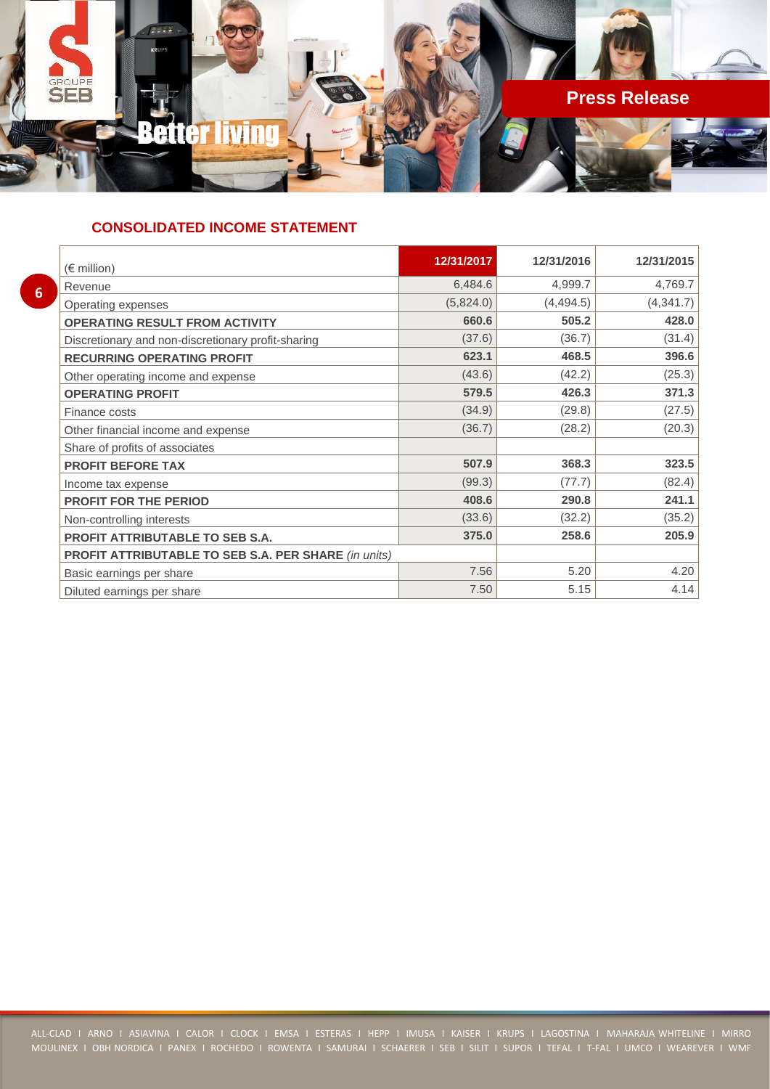

## **CONSOLIDATED INCOME STATEMENT**

| $(\epsilon$ million)                                        | 12/31/2017 | 12/31/2016 | 12/31/2015 |
|-------------------------------------------------------------|------------|------------|------------|
| Revenue                                                     | 6,484.6    | 4,999.7    | 4,769.7    |
| Operating expenses                                          | (5,824.0)  | (4, 494.5) | (4, 341.7) |
| <b>OPERATING RESULT FROM ACTIVITY</b>                       | 660.6      | 505.2      | 428.0      |
| Discretionary and non-discretionary profit-sharing          | (37.6)     | (36.7)     | (31.4)     |
| <b>RECURRING OPERATING PROFIT</b>                           | 623.1      | 468.5      | 396.6      |
| Other operating income and expense                          | (43.6)     | (42.2)     | (25.3)     |
| <b>OPERATING PROFIT</b>                                     | 579.5      | 426.3      | 371.3      |
| Finance costs                                               | (34.9)     | (29.8)     | (27.5)     |
| Other financial income and expense                          | (36.7)     | (28.2)     | (20.3)     |
| Share of profits of associates                              |            |            |            |
| <b>PROFIT BEFORE TAX</b>                                    | 507.9      | 368.3      | 323.5      |
| Income tax expense                                          | (99.3)     | (77.7)     | (82.4)     |
| <b>PROFIT FOR THE PERIOD</b>                                | 408.6      | 290.8      | 241.1      |
| Non-controlling interests                                   | (33.6)     | (32.2)     | (35.2)     |
| <b>PROFIT ATTRIBUTABLE TO SEB S.A.</b>                      | 375.0      | 258.6      | 205.9      |
| <b>PROFIT ATTRIBUTABLE TO SEB S.A. PER SHARE (in units)</b> |            |            |            |
| Basic earnings per share                                    | 7.56       | 5.20       | 4.20       |
| Diluted earnings per share                                  | 7.50       | 5.15       | 4.14       |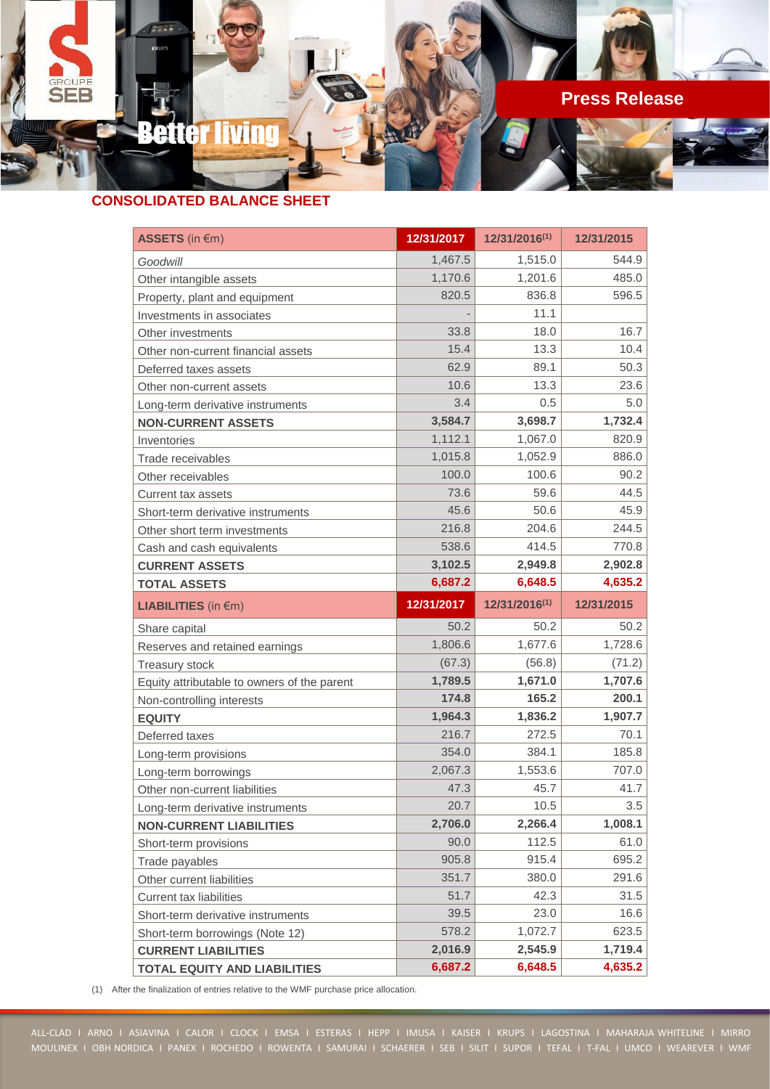

## **CONSOLIDATED BALANCE SHEET**

| ASSETS (in €m)                              | 12/31/2017 | 12/31/2016(1) | 12/31/2015 |
|---------------------------------------------|------------|---------------|------------|
| Goodwill                                    | 1,467.5    | 1,515.0       | 544.9      |
| Other intangible assets                     | 1,170.6    | 1,201.6       | 485.0      |
| Property, plant and equipment               | 820.5      | 836.8         | 596.5      |
| Investments in associates                   |            | 11.1          |            |
| Other investments                           | 33.8       | 18.0          | 16.7       |
| Other non-current financial assets          | 15.4       | 13.3          | 10.4       |
| Deferred taxes assets                       | 62.9       | 89.1          | 50.3       |
| Other non-current assets                    | 10.6       | 13.3          | 23.6       |
| Long-term derivative instruments            | 3.4        | 0.5           | 5.0        |
| <b>NON-CURRENT ASSETS</b>                   | 3,584.7    | 3,698.7       | 1,732.4    |
| Inventories                                 | 1,112.1    | 1,067.0       | 820.9      |
| Trade receivables                           | 1,015.8    | 1,052.9       | 886.0      |
| Other receivables                           | 100.0      | 100.6         | 90.2       |
| Current tax assets                          | 73.6       | 59.6          | 44.5       |
| Short-term derivative instruments           | 45.6       | 50.6          | 45.9       |
| Other short term investments                | 216.8      | 204.6         | 244.5      |
| Cash and cash equivalents                   | 538.6      | 414.5         | 770.8      |
| <b>CURRENT ASSETS</b>                       | 3,102.5    | 2,949.8       | 2,902.8    |
| <b>TOTAL ASSETS</b>                         | 6,687.2    | 6,648.5       | 4,635.2    |
| <b>LIABILITIES</b> (in €m)                  | 12/31/2017 | 12/31/2016(1) | 12/31/2015 |
| Share capital                               | 50.2       | 50.2          | 50.2       |
| Reserves and retained earnings              | 1,806.6    | 1,677.6       | 1,728.6    |
| <b>Treasury stock</b>                       | (67.3)     | (56.8)        | (71.2)     |
| Equity attributable to owners of the parent | 1,789.5    | 1,671.0       | 1,707.6    |
| Non-controlling interests                   | 174.8      | 165.2         | 200.1      |
| <b>EQUITY</b>                               | 1,964.3    | 1,836.2       | 1,907.7    |
| Deferred taxes                              | 216.7      | 272.5         | 70.1       |
| Long-term provisions                        | 354.0      | 384.1         | 185.8      |
| Long-term borrowings                        | 2,067.3    | 1,553.6       | 707.0      |
| Other non-current liabilities               | 47.3       | 45.7          | 41.7       |
| Long-term derivative instruments            | 20.7       | 10.5          | 3.5        |
| <b>NON-CURRENT LIABILITIES</b>              | 2,706.0    | 2,266.4       | 1,008.1    |
| Short-term provisions                       | 90.0       | 112.5         | 61.0       |
| Trade payables                              | 905.8      | 915.4         | 695.2      |
| Other current liabilities                   | 351.7      | 380.0         | 291.6      |
| <b>Current tax liabilities</b>              | 51.7       | 42.3          | 31.5       |
| Short-term derivative instruments           | 39.5       | 23.0          | 16.6       |
| Short-term borrowings (Note 12)             | 578.2      | 1,072.7       | 623.5      |
| <b>CURRENT LIABILITIES</b>                  | 2,016.9    | 2,545.9       | 1,719.4    |
| <b>TOTAL EQUITY AND LIABILITIES</b>         | 6,687.2    | 6,648.5       | 4,635.2    |

(1) After the finalization of entries relative to the WMF purchase price allocation.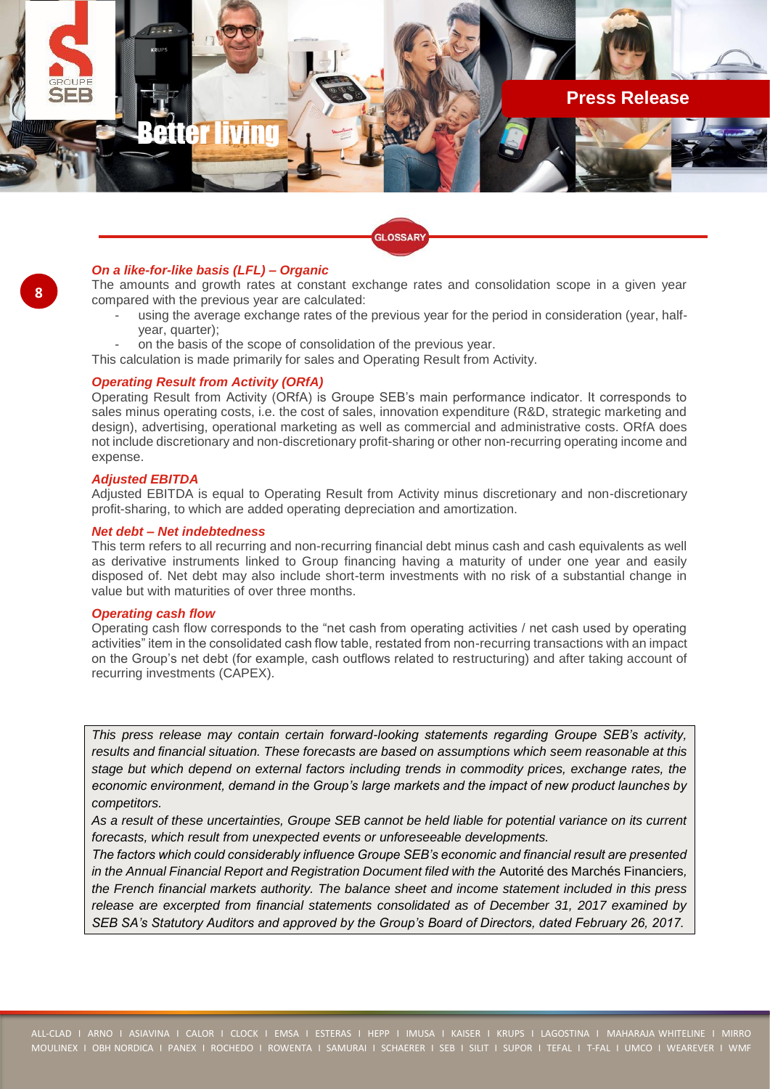

### *On a like-for-like basis (LFL) – Organic*

The amounts and growth rates at constant exchange rates and consolidation scope in a given year compared with the previous year are calculated:

using the average exchange rates of the previous year for the period in consideration (year, halfyear, quarter);

**GLOSSARY** 

- on the basis of the scope of consolidation of the previous year.
- This calculation is made primarily for sales and Operating Result from Activity.

### *Operating Result from Activity (ORfA)*

Operating Result from Activity (ORfA) is Groupe SEB's main performance indicator. It corresponds to sales minus operating costs, i.e. the cost of sales, innovation expenditure (R&D, strategic marketing and design), advertising, operational marketing as well as commercial and administrative costs. ORfA does not include discretionary and non-discretionary profit-sharing or other non-recurring operating income and expense.

#### *Adjusted EBITDA*

Adjusted EBITDA is equal to Operating Result from Activity minus discretionary and non-discretionary profit-sharing, to which are added operating depreciation and amortization.

### *Net debt – Net indebtedness*

This term refers to all recurring and non-recurring financial debt minus cash and cash equivalents as well as derivative instruments linked to Group financing having a maturity of under one year and easily disposed of. Net debt may also include short-term investments with no risk of a substantial change in value but with maturities of over three months.

#### *Operating cash flow*

Operating cash flow corresponds to the "net cash from operating activities / net cash used by operating activities" item in the consolidated cash flow table, restated from non-recurring transactions with an impact on the Group's net debt (for example, cash outflows related to restructuring) and after taking account of recurring investments (CAPEX).

*This press release may contain certain forward-looking statements regarding Groupe SEB's activity, results and financial situation. These forecasts are based on assumptions which seem reasonable at this stage but which depend on external factors including trends in commodity prices, exchange rates, the economic environment, demand in the Group's large markets and the impact of new product launches by competitors.*

*As a result of these uncertainties, Groupe SEB cannot be held liable for potential variance on its current forecasts, which result from unexpected events or unforeseeable developments.*

*The factors which could considerably influence Groupe SEB's economic and financial result are presented in the Annual Financial Report and Registration Document filed with the* Autorité des Marchés Financiers*, the French financial markets authority. The balance sheet and income statement included in this press release are excerpted from financial statements consolidated as of December 31, 2017 examined by SEB SA's Statutory Auditors and approved by the Group's Board of Directors, dated February 26, 2017.*